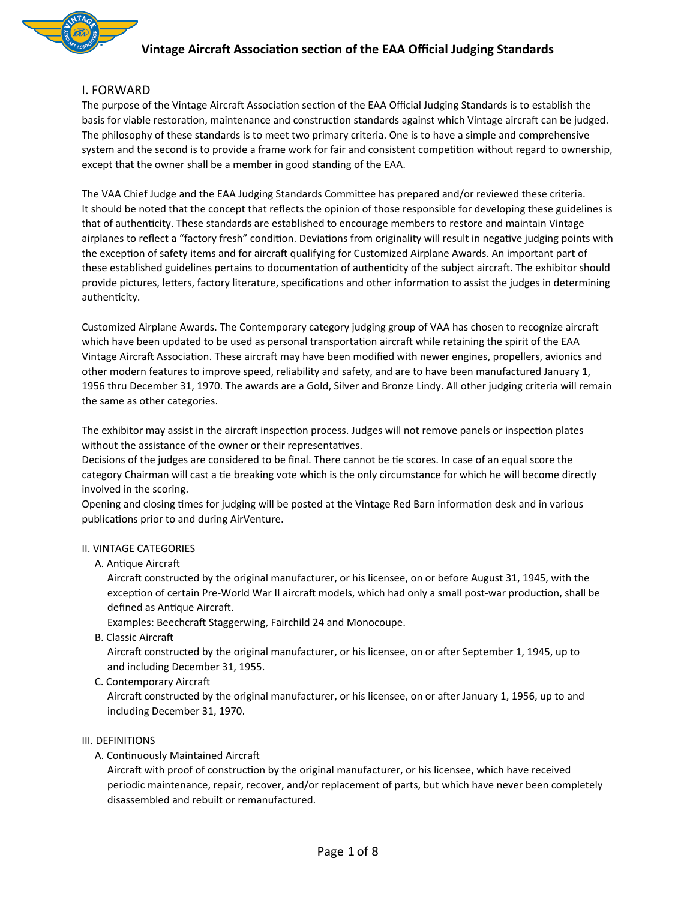### **I. FORWARD**

The purpose of the Vintage Aircraft Association section of the EAA Official Judging Standards is to establish the basis for viable restoration, maintenance and construction standards against which Vintage aircraft can be judged. The philosophy of these standards is to meet two primary criteria. One is to have a simple and comprehensive system and the second is to provide a frame work for fair and consistent competition without regard to ownership, except that the owner shall be a member in good standing of the EAA.

The VAA Chief Judge and the EAA Judging Standards Committee has prepared and/or reviewed these criteria. It should be noted that the concept that reflects the opinion of those responsible for developing these guidelines is that of authenticity. These standards are established to encourage members to restore and maintain Vintage airplanes to reflect a "factory fresh" condition. Deviations from originality will result in negative judging points with the exception of safety items and for aircraft qualifying for Customized Airplane Awards. An important part of these established guidelines pertains to documentation of authenticity of the subject aircraft. The exhibitor should provide pictures, letters, factory literature, specifications and other information to assist the judges in determining authenticity.

Customized Airplane Awards. The Contemporary category judging group of VAA has chosen to recognize aircraft which have been updated to be used as personal transportation aircraft while retaining the spirit of the EAA Vintage Aircraft Association. These aircraft may have been modified with newer engines, propellers, avionics and other modern features to improve speed, reliability and safety, and are to have been manufactured January 1, 1956 thru December 31, 1970. The awards are a Gold, Silver and Bronze Lindy. All other judging criteria will remain the same as other categories.

The exhibitor may assist in the aircraft inspection process. Judges will not remove panels or inspection plates without the assistance of the owner or their representatives.

Decisions of the judges are considered to be final. There cannot be tie scores. In case of an equal score the category Chairman will cast a tie breaking vote which is the only circumstance for which he will become directly involved in the scoring.

Opening and closing times for judging will be posted at the Vintage Red Barn information desk and in various publications prior to and during AirVenture.

### **II. VINTAGE CATEGORIES**

A. Antique Aircraft

Aircraft constructed by the original manufacturer, or his licensee, on or before August 31, 1945, with the exception of certain Pre-World War II aircraft models, which had only a small post-war production, shall be defined as Antique Aircraft.

Examples: Beechcraft Staggerwing, Fairchild 24 and Monocoupe.

**B.** Classic Aircraft

Aircraft constructed by the original manufacturer, or his licensee, on or after September 1, 1945, up to and including December 31, 1955.

C. Contemporary Aircraft

Aircraft constructed by the original manufacturer, or his licensee, on or after January 1, 1956, up to and including December 31, 1970.

### III. DEFINITIONS

A. Continuously Maintained Aircraft

Aircraft with proof of construction by the original manufacturer, or his licensee, which have received periodic maintenance, repair, recover, and/or replacement of parts, but which have never been completely disassembled and rebuilt or remanufactured.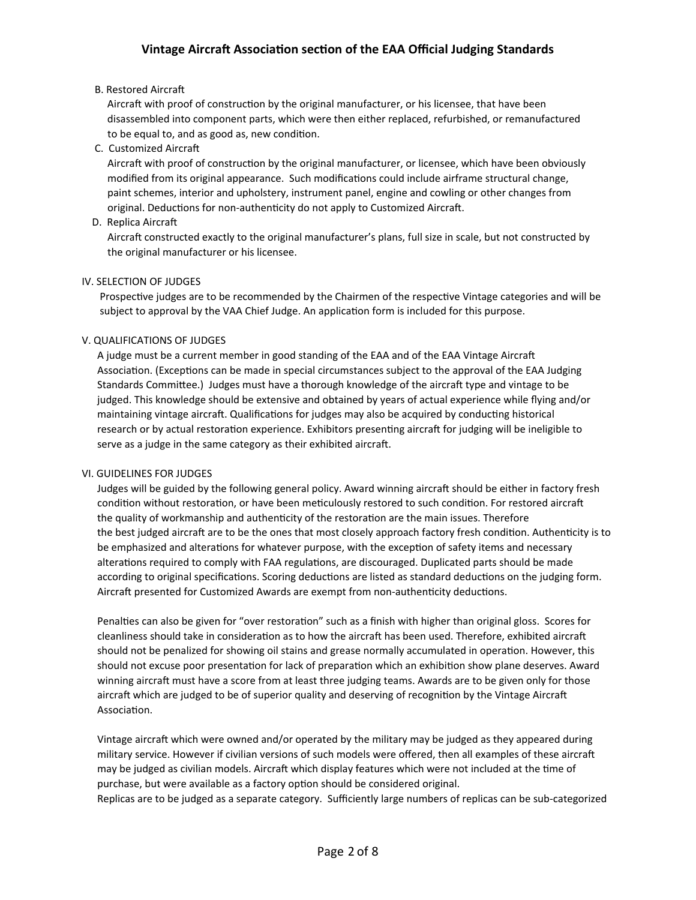### **B. Restored Aircraft**

Aircraft with proof of construction by the original manufacturer, or his licensee, that have been disassembled into component parts, which were then either replaced, refurbished, or remanufactured to be equal to, and as good as, new condition.

C. Customized Aircraft

Aircraft with proof of construction by the original manufacturer, or licensee, which have been obviously modified from its original appearance. Such modifications could include airframe structural change, paint schemes, interior and upholstery, instrument panel, engine and cowling or other changes from original. Deductions for non-authenticity do not apply to Customized Aircraft.

D. Replica Aircraft

Aircraft constructed exactly to the original manufacturer's plans, full size in scale, but not constructed by the original manufacturer or his licensee.

### IV. SELECTION OF JUDGES

Prospective judges are to be recommended by the Chairmen of the respective Vintage categories and will be subject to approval by the VAA Chief Judge. An application form is included for this purpose.

### V. QUALIFICATIONS OF JUDGES

A judge must be a current member in good standing of the EAA and of the EAA Vintage Aircraft Association. (Exceptions can be made in special circumstances subject to the approval of the EAA Judging Standards Committee.) Judges must have a thorough knowledge of the aircraft type and vintage to be judged. This knowledge should be extensive and obtained by years of actual experience while flying and/or maintaining vintage aircraft. Qualifications for judges may also be acquired by conducting historical research or by actual restoration experience. Exhibitors presenting aircraft for judging will be ineligible to serve as a judge in the same category as their exhibited aircraft.

### VI. GUIDELINES FOR JUDGES

Judges will be guided by the following general policy. Award winning aircraft should be either in factory fresh condition without restoration, or have been meticulously restored to such condition. For restored aircraft the quality of workmanship and authenticity of the restoration are the main issues. Therefore the best judged aircraft are to be the ones that most closely approach factory fresh condition. Authenticity is to be emphasized and alterations for whatever purpose, with the exception of safety items and necessary alterations required to comply with FAA regulations, are discouraged. Duplicated parts should be made according to original specifications. Scoring deductions are listed as standard deductions on the judging form. Aircraft presented for Customized Awards are exempt from non-authenticity deductions.

Penalties can also be given for "over restoration" such as a finish with higher than original gloss. Scores for cleanliness should take in consideration as to how the aircraft has been used. Therefore, exhibited aircraft should not be penalized for showing oil stains and grease normally accumulated in operation. However, this should not excuse poor presentation for lack of preparation which an exhibition show plane deserves. Award winning aircraft must have a score from at least three judging teams. Awards are to be given only for those aircraft which are judged to be of superior quality and deserving of recognition by the Vintage Aircraft Association.

Vintage aircraft which were owned and/or operated by the military may be judged as they appeared during military service. However if civilian versions of such models were offered, then all examples of these aircraft may be judged as civilian models. Aircraft which display features which were not included at the time of purchase, but were available as a factory option should be considered original. Replicas are to be judged as a separate category. Sufficiently large numbers of replicas can be sub-categorized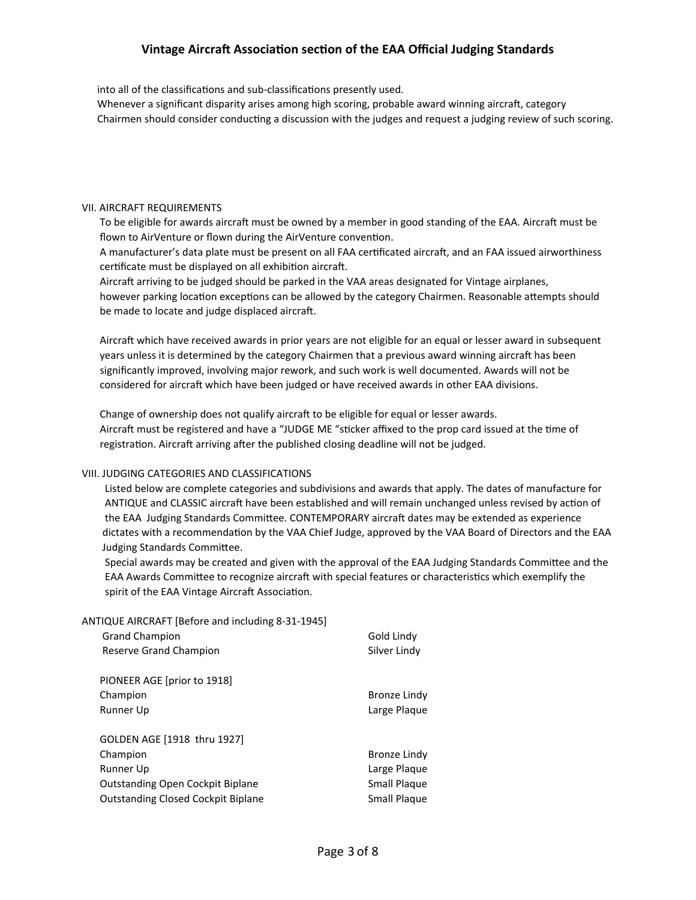into all of the classifications and sub-classifications presently used.

Whenever a significant disparity arises among high scoring, probable award winning aircraft, category Chairmen should consider conducting a discussion with the judges and request a judging review of such scoring.

### **VII. AIRCRAFT REQUIREMENTS**

To be eligible for awards aircraft must be owned by a member in good standing of the EAA. Aircraft must be flown to AirVenture or flown during the AirVenture convention.

A manufacturer's data plate must be present on all FAA certificated aircraft, and an FAA issued airworthiness certificate must be displayed on all exhibition aircraft.

Aircraft arriving to be judged should be parked in the VAA areas designated for Vintage airplanes, however parking location exceptions can be allowed by the category Chairmen. Reasonable attempts should be made to locate and judge displaced aircraft.

Aircraft which have received awards in prior years are not eligible for an equal or lesser award in subsequent years unless it is determined by the category Chairmen that a previous award winning aircraft has been significantly improved, involving major rework, and such work is well documented. Awards will not be considered for aircraft which have been judged or have received awards in other EAA divisions.

Change of ownership does not qualify aircraft to be eligible for equal or lesser awards. Aircraft must be registered and have a "JUDGE ME "sticker affixed to the prop card issued at the time of registration. Aircraft arriving after the published closing deadline will not be judged.

### VIII. JUDGING CATEGORIES AND CLASSIFICATIONS

Listed below are complete categories and subdivisions and awards that apply. The dates of manufacture for ANTIQUE and CLASSIC aircraft have been established and will remain unchanged unless revised by action of the EAA Judging Standards Committee. CONTEMPORARY aircraft dates may be extended as experience dictates with a recommendation by the VAA Chief Judge, approved by the VAA Board of Directors and the EAA Judging Standards Committee.

Special awards may be created and given with the approval of the EAA Judging Standards Committee and the EAA Awards Committee to recognize aircraft with special features or characteristics which exemplify the spirit of the EAA Vintage Aircraft Association.

ANTIQUE AIRCRAFT [Before and including 8-31-1945]

| <b>Grand Champion</b>                     | Gold Lindy   |
|-------------------------------------------|--------------|
| Reserve Grand Champion                    | Silver Lindy |
|                                           |              |
| PIONEER AGE [prior to 1918]               |              |
| Champion                                  | Bronze Lindy |
| Runner Up                                 | Large Plaque |
|                                           |              |
| GOLDEN AGE [1918 thru 1927]               |              |
| Champion                                  | Bronze Lindy |
| Runner Up                                 | Large Plaque |
| <b>Outstanding Open Cockpit Biplane</b>   | Small Plaque |
| <b>Outstanding Closed Cockpit Biplane</b> | Small Plaque |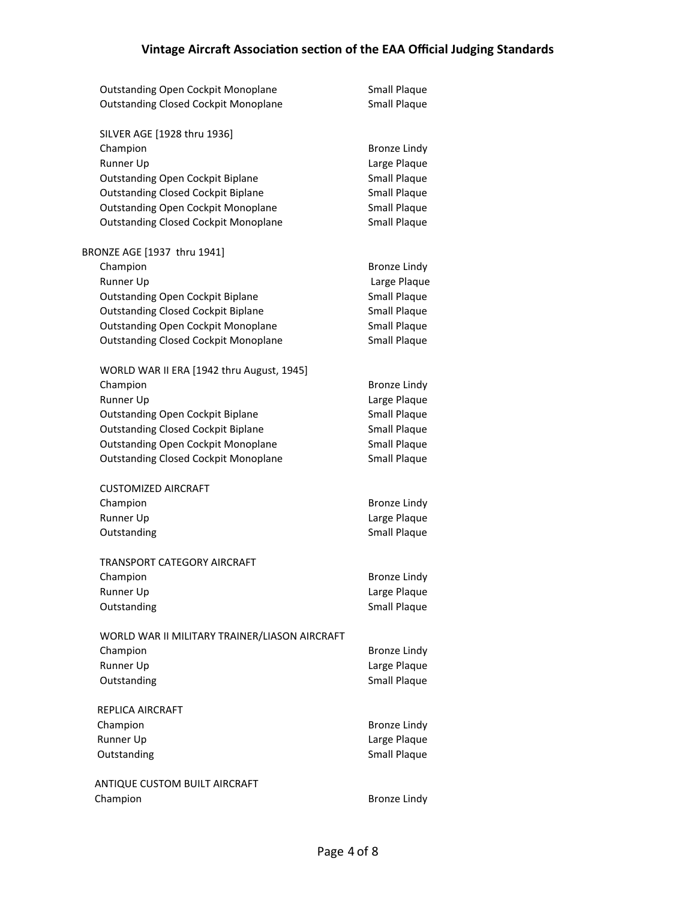|                               | <b>Outstanding Open Cockpit Monoplane</b>     | <b>Small Plaque</b> |  |  |
|-------------------------------|-----------------------------------------------|---------------------|--|--|
|                               | <b>Outstanding Closed Cockpit Monoplane</b>   | Small Plaque        |  |  |
|                               |                                               |                     |  |  |
|                               | SILVER AGE [1928 thru 1936]                   |                     |  |  |
|                               | Champion                                      | <b>Bronze Lindy</b> |  |  |
|                               | Runner Up                                     | Large Plaque        |  |  |
|                               | Outstanding Open Cockpit Biplane              | <b>Small Plaque</b> |  |  |
|                               | <b>Outstanding Closed Cockpit Biplane</b>     | Small Plaque        |  |  |
|                               | <b>Outstanding Open Cockpit Monoplane</b>     | Small Plaque        |  |  |
|                               | <b>Outstanding Closed Cockpit Monoplane</b>   | Small Plaque        |  |  |
|                               |                                               |                     |  |  |
|                               | BRONZE AGE [1937 thru 1941]                   |                     |  |  |
|                               | Champion                                      | <b>Bronze Lindy</b> |  |  |
|                               | Runner Up                                     | Large Plaque        |  |  |
|                               | Outstanding Open Cockpit Biplane              | <b>Small Plaque</b> |  |  |
|                               | <b>Outstanding Closed Cockpit Biplane</b>     | Small Plaque        |  |  |
|                               | <b>Outstanding Open Cockpit Monoplane</b>     | Small Plaque        |  |  |
|                               | <b>Outstanding Closed Cockpit Monoplane</b>   | <b>Small Plaque</b> |  |  |
|                               |                                               |                     |  |  |
|                               | WORLD WAR II ERA [1942 thru August, 1945]     |                     |  |  |
|                               | Champion                                      | <b>Bronze Lindy</b> |  |  |
|                               | Runner Up                                     | Large Plaque        |  |  |
|                               | <b>Outstanding Open Cockpit Biplane</b>       | Small Plaque        |  |  |
|                               | <b>Outstanding Closed Cockpit Biplane</b>     | Small Plaque        |  |  |
|                               | <b>Outstanding Open Cockpit Monoplane</b>     | <b>Small Plaque</b> |  |  |
|                               | <b>Outstanding Closed Cockpit Monoplane</b>   | Small Plaque        |  |  |
|                               | <b>CUSTOMIZED AIRCRAFT</b>                    |                     |  |  |
|                               | Champion                                      | <b>Bronze Lindy</b> |  |  |
|                               | Runner Up                                     | Large Plaque        |  |  |
|                               | Outstanding                                   | Small Plaque        |  |  |
|                               |                                               |                     |  |  |
|                               | TRANSPORT CATEGORY AIRCRAFT                   |                     |  |  |
|                               | Champion                                      | <b>Bronze Lindy</b> |  |  |
|                               | Runner Up                                     | Large Plaque        |  |  |
|                               | Outstanding                                   | <b>Small Plaque</b> |  |  |
|                               |                                               |                     |  |  |
|                               | WORLD WAR II MILITARY TRAINER/LIASON AIRCRAFT |                     |  |  |
|                               | Champion                                      | <b>Bronze Lindy</b> |  |  |
|                               | Runner Up                                     | Large Plaque        |  |  |
|                               | Outstanding                                   | Small Plaque        |  |  |
|                               | REPLICA AIRCRAFT                              |                     |  |  |
|                               | Champion                                      | <b>Bronze Lindy</b> |  |  |
|                               | Runner Up                                     | Large Plaque        |  |  |
|                               | Outstanding                                   | <b>Small Plaque</b> |  |  |
|                               |                                               |                     |  |  |
| ANTIQUE CUSTOM BUILT AIRCRAFT |                                               |                     |  |  |
| Champion                      |                                               | <b>Bronze Lindy</b> |  |  |
|                               |                                               |                     |  |  |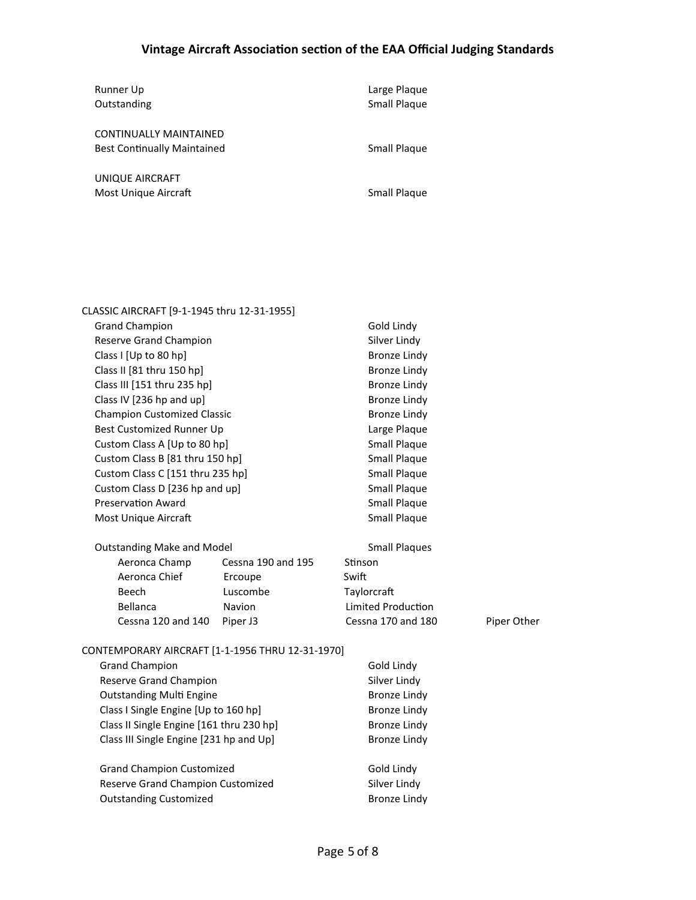| Runner Up<br>Outstanding                                     | Large Plaque<br><b>Small Plaque</b> |
|--------------------------------------------------------------|-------------------------------------|
| CONTINUALLY MAINTAINED<br><b>Best Continually Maintained</b> | Small Plaque                        |
| UNIQUE AIRCRAFT<br>Most Unique Aircraft                      | Small Plaque                        |

| CLASSIC AIRCRAFT [9-1-1945 thru 12-31-1955]      |                    |                           |             |  |
|--------------------------------------------------|--------------------|---------------------------|-------------|--|
| <b>Grand Champion</b>                            |                    | Gold Lindy                |             |  |
| Reserve Grand Champion                           |                    | Silver Lindy              |             |  |
| Class I [Up to 80 hp]                            |                    | <b>Bronze Lindy</b>       |             |  |
| Class II [81 thru 150 hp]                        |                    | <b>Bronze Lindy</b>       |             |  |
| Class III [151 thru 235 hp]                      |                    | <b>Bronze Lindy</b>       |             |  |
| Class IV [236 hp and up]                         |                    | <b>Bronze Lindy</b>       |             |  |
| <b>Champion Customized Classic</b>               |                    | <b>Bronze Lindy</b>       |             |  |
| Best Customized Runner Up                        |                    | Large Plaque              |             |  |
| Custom Class A [Up to 80 hp]                     |                    | <b>Small Plaque</b>       |             |  |
| Custom Class B [81 thru 150 hp]                  |                    | <b>Small Plaque</b>       |             |  |
| Custom Class C [151 thru 235 hp]                 |                    | <b>Small Plaque</b>       |             |  |
| Custom Class D [236 hp and up]                   |                    | <b>Small Plaque</b>       |             |  |
| <b>Preservation Award</b>                        |                    | <b>Small Plaque</b>       |             |  |
| Most Unique Aircraft                             |                    | <b>Small Plaque</b>       |             |  |
| <b>Outstanding Make and Model</b>                |                    | <b>Small Plaques</b>      |             |  |
| Aeronca Champ                                    | Cessna 190 and 195 | Stinson                   |             |  |
| Aeronca Chief                                    | Ercoupe            | Swift                     |             |  |
| Beech                                            | Luscombe           | Taylorcraft               |             |  |
| Bellanca                                         | Navion             | <b>Limited Production</b> |             |  |
| Cessna 120 and 140                               | Piper J3           | Cessna 170 and 180        | Piper Other |  |
| CONTEMPORARY AIRCRAFT [1-1-1956 THRU 12-31-1970] |                    |                           |             |  |
| <b>Grand Champion</b>                            |                    | Gold Lindy                |             |  |
| Reserve Grand Champion                           |                    | Silver Lindy              |             |  |
| <b>Outstanding Multi Engine</b>                  |                    | <b>Bronze Lindy</b>       |             |  |
| Class I Single Engine [Up to 160 hp]             |                    | <b>Bronze Lindy</b>       |             |  |
| Class II Single Engine [161 thru 230 hp]         |                    | <b>Bronze Lindy</b>       |             |  |
| Class III Single Engine [231 hp and Up]          |                    | <b>Bronze Lindy</b>       |             |  |
| <b>Grand Champion Customized</b>                 |                    | Gold Lindy                |             |  |
| Reserve Grand Champion Customized                |                    | Silver Lindy              |             |  |
| <b>Outstanding Customized</b>                    |                    | <b>Bronze Lindy</b>       |             |  |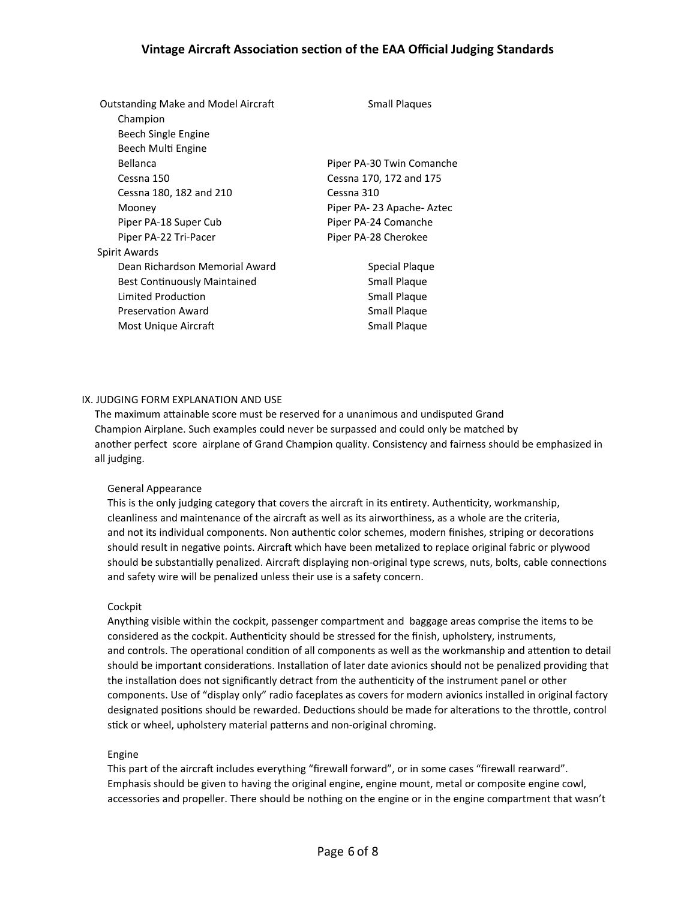| <b>Outstanding Make and Model Aircraft</b> | <b>Small Plaques</b>      |  |
|--------------------------------------------|---------------------------|--|
| Champion                                   |                           |  |
| Beech Single Engine                        |                           |  |
| Beech Multi Engine                         |                           |  |
| Bellanca                                   | Piper PA-30 Twin Comanche |  |
| Cessna 150                                 | Cessna 170, 172 and 175   |  |
| Cessna 180, 182 and 210                    | Cessna 310                |  |
| Mooney                                     | Piper PA-23 Apache-Aztec  |  |
| Piper PA-18 Super Cub                      | Piper PA-24 Comanche      |  |
| Piper PA-22 Tri-Pacer                      | Piper PA-28 Cherokee      |  |
| Spirit Awards                              |                           |  |
| Dean Richardson Memorial Award             | Special Plaque            |  |
| <b>Best Continuously Maintained</b>        | Small Plaque              |  |
| Limited Production                         | <b>Small Plaque</b>       |  |
| Preservation Award                         | <b>Small Plaque</b>       |  |
| Most Unique Aircraft                       | <b>Small Plaque</b>       |  |

### IX. JUDGING FORM EXPLANATION AND USE

The maximum attainable score must be reserved for a unanimous and undisputed Grand Champion Airplane. Such examples could never be surpassed and could only be matched by another perfect score airplane of Grand Champion quality. Consistency and fairness should be emphasized in all judging.

### General Appearance

This is the only judging category that covers the aircraft in its entirety. Authenticity, workmanship, cleanliness and maintenance of the aircraft as well as its airworthiness, as a whole are the criteria, and not its individual components. Non authentic color schemes, modern finishes, striping or decorations should result in negative points. Aircraft which have been metalized to replace original fabric or plywood should be substantially penalized. Aircraft displaying non-original type screws, nuts, bolts, cable connections and safety wire will be penalized unless their use is a safety concern.

### Cockpit

Anything visible within the cockpit, passenger compartment and baggage areas comprise the items to be considered as the cockpit. Authenticity should be stressed for the finish, upholstery, instruments, and controls. The operational condition of all components as well as the workmanship and attention to detail should be important considerations. Installation of later date avionics should not be penalized providing that the installation does not significantly detract from the authenticity of the instrument panel or other components. Use of "display only" radio faceplates as covers for modern avionics installed in original factory designated positions should be rewarded. Deductions should be made for alterations to the throttle, control stick or wheel, upholstery material patterns and non-original chroming.

### Engine

This part of the aircraft includes everything "firewall forward", or in some cases "firewall rearward". Emphasis should be given to having the original engine, engine mount, metal or composite engine cowl, accessories and propeller. There should be nothing on the engine or in the engine compartment that wasn't